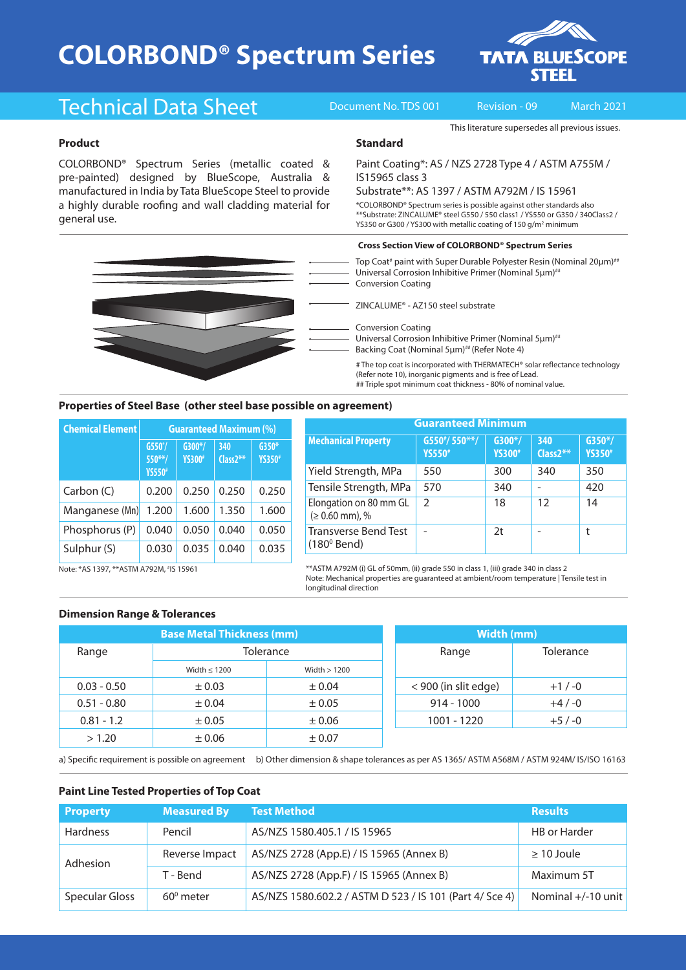# **COLORBOND® Spectrum Series**



## Technical Data Sheet Document No. TDS 001 Revision - 09 March 2021

IS15965 class 3

**Standard**

This literature supersedes all previous issues.

#### **Product**

COLORBOND® Spectrum Series (metallic coated & pre-painted) designed by BlueScope, Australia & manufactured in India by Tata BlueScope Steel to provide a highly durable roofing and wall cladding material for general use.

Top Coat<sup>#</sup> paint with Super Durable Polyester Resin (Nominal 20μm)<sup>##</sup> Universal Corrosion Inhibitive Primer (Nominal 5um)<sup>##</sup> Conversion Coating ZINCALUME® - AZ150 steel substrate Conversion Coating Universal Corrosion Inhibitive Primer (Nominal 5μm)<sup>##</sup> Backing Coat (Nominal 5um)<sup>##</sup> (Refer Note 4) YS350 or G300 / YS300 with metallic coating of 150 g/m<sup>2</sup> minimum # The top coat is incorporated with THERMATECH® solar reflectance technology **Cross Section View of COLORBOND® Spectrum Series**

(Refer note 10), inorganic pigments and is free of Lead. ## Triple spot minimum coat thickness - 80% of nominal value.

Paint Coating\*: AS / NZS 2728 Type 4 / ASTM A755M /

Substrate\*\*: AS 1397 / ASTM A792M / IS 15961 \*COLORBOND® Spectrum series is possible against other standards also \*\*Substrate: ZINCALUME® steel G550 / 550 class1 / YS550 or G350 / 340Class2 /

#### **Properties of Steel Base (other steel base possible on agreement)**

| <b>Chemical Element</b> | <b>Guaranteed Maximum (%)</b>           |                            |                    |                           |  |
|-------------------------|-----------------------------------------|----------------------------|--------------------|---------------------------|--|
|                         | $G550^*/$<br>$550**/$<br><b>YS550</b> # | $G300*/$<br><b>YS300</b> # | 340<br>$Class2***$ | $G350*$<br><b>YS350</b> # |  |
| Carbon (C)              | 0.200                                   | 0.250                      | 0.250              | 0.250                     |  |
| Manganese (Mn)          | 1.200                                   | 1.600                      | 1.350              | 1.600                     |  |
| Phosphorus (P)          | 0.040                                   | 0.050                      | 0.040              | 0.050                     |  |
| Sulphur (S)             | 0.030                                   | 0.035                      | 0.040              | 0.035                     |  |

| <b>Guaranteed Minimum</b>                           |                                  |                            |                   |                            |  |  |
|-----------------------------------------------------|----------------------------------|----------------------------|-------------------|----------------------------|--|--|
| <b>Mechanical Property</b>                          | $G550*/550**/$<br><b>YS550</b> # | $G300*/$<br><b>YS300</b> # | 340<br>$Class2**$ | $G350*/$<br><b>YS350</b> # |  |  |
| Yield Strength, MPa                                 | 550                              | 300                        | 340               | 350                        |  |  |
| Tensile Strength, MPa                               | 570                              | 340                        |                   | 420                        |  |  |
| Elongation on 80 mm GL<br>$(≥ 0.60$ mm), %          | $\mathcal{P}$                    | 18                         | 12                | 14                         |  |  |
| <b>Transverse Bend Test</b><br>$(180^{\circ}$ Bend) |                                  | 2 <sub>t</sub>             |                   | t                          |  |  |

Note: \*AS 1397, \*\*ASTM A792M, # IS 15961

\*\*ASTM A792M (i) GL of 50mm, (ii) grade 550 in class 1, (iii) grade 340 in class 2 Note: Mechanical properties are guaranteed at ambient/room temperature | Tensile test in longitudinal direction

#### **Dimension Range & Tolerances**

| <b>Base Metal Thickness (mm)</b> |                   |               | Width (mm)           |           |  |
|----------------------------------|-------------------|---------------|----------------------|-----------|--|
| Range                            | Tolerance         |               | Range                | Tolerance |  |
|                                  | Width $\leq 1200$ | Width $>1200$ |                      |           |  |
| $0.03 - 0.50$                    | $\pm 0.03$        | ± 0.04        | < 900 (in slit edge) | $+1/ -0$  |  |
| $0.51 - 0.80$                    | ± 0.04            | $\pm 0.05$    | $914 - 1000$         | $+4/ -0$  |  |
| $0.81 - 1.2$                     | $\pm 0.05$        | $\pm 0.06$    | 1001 - 1220          | $+5/ -0$  |  |
| > 1.20                           | $\pm 0.06$        | $\pm 0.07$    |                      |           |  |

| Width (mm)           |           |  |  |  |
|----------------------|-----------|--|--|--|
| Range                | Tolerance |  |  |  |
| < 900 (in slit edge) | $+1/ -0$  |  |  |  |
| $914 - 1000$         | $+4/ -0$  |  |  |  |
| 1001 - 1220          | $+5/ -0$  |  |  |  |

a) Specific requirement is possible on agreement b) Other dimension & shape tolerances as per AS 1365/ ASTM A568M / ASTM 924M/ IS/ISO 16163

#### **Paint Line Tested Properties of Top Coat**

| <b>Property</b> | <b>Measured By</b> | <b>Test Method</b>                                      | <b>Results</b>       |  |
|-----------------|--------------------|---------------------------------------------------------|----------------------|--|
| <b>Hardness</b> | Pencil             | AS/NZS 1580.405.1 / IS 15965                            | <b>HB</b> or Harder  |  |
| Adhesion        | Reverse Impact     | AS/NZS 2728 (App.E) / IS 15965 (Annex B)                | $\geq$ 10 Joule      |  |
|                 | T - Bend           | AS/NZS 2728 (App.F) / IS 15965 (Annex B)                | Maximum 5T           |  |
| Specular Gloss  | $60^{\circ}$ meter | AS/NZS 1580.602.2 / ASTM D 523 / IS 101 (Part 4/ Sce 4) | Nominal $+/-10$ unit |  |